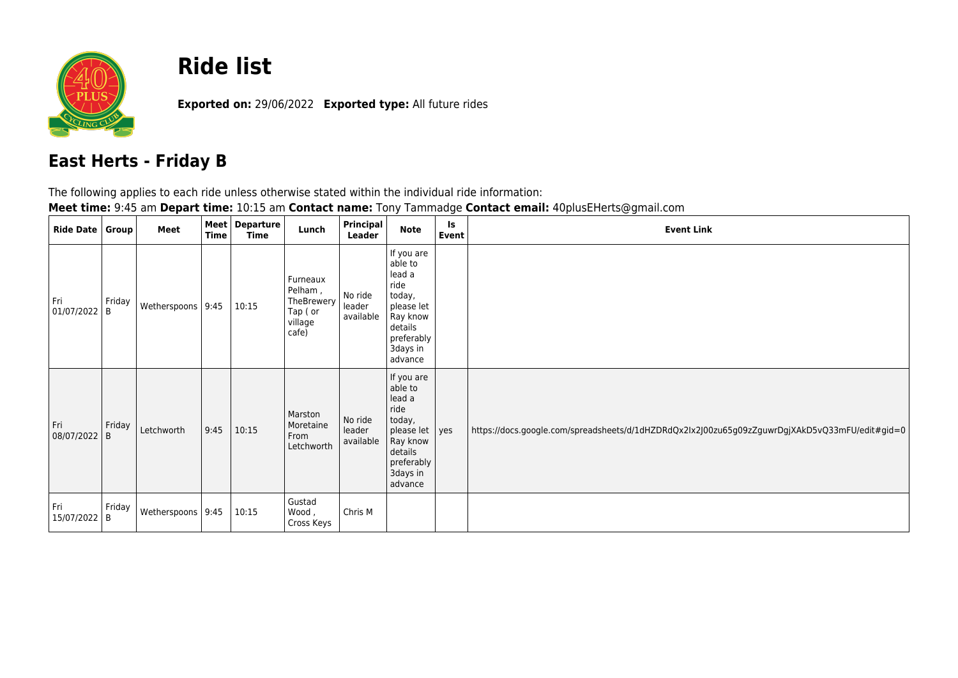

## **Ride list**

**Exported on:** 29/06/2022 **Exported type:** All future rides

## **East Herts - Friday B**

The following applies to each ride unless otherwise stated within the individual ride information:

**Meet time:** 9:45 am **Depart time:** 10:15 am **Contact name:** Tony Tammadge **Contact email:** 40plusEHerts@gmail.com

| <b>Ride Date</b>  | Group       | Meet              | Time | Meet   Departure<br>Time | Lunch                                                            | Principal<br>Leader            | <b>Note</b>                                                                                                                 | Is<br>Event | <b>Event Link</b>                                                                              |
|-------------------|-------------|-------------------|------|--------------------------|------------------------------------------------------------------|--------------------------------|-----------------------------------------------------------------------------------------------------------------------------|-------------|------------------------------------------------------------------------------------------------|
| Fri<br>01/07/2022 | Friday<br>B | Wetherspoons 9:45 |      | 10:15                    | Furneaux<br>Pelham,<br>TheBrewery<br>Tap (or<br>village<br>cafe) | No ride<br>leader<br>available | If you are<br>able to<br>lead a<br>ride<br>today,<br>please let<br>Ray know<br>details<br>preferably<br>3days in<br>advance |             |                                                                                                |
| Fri<br>08/07/2022 | Friday<br>B | Letchworth        | 9:45 | 10:15                    | Marston<br>Moretaine<br>From<br>Letchworth                       | No ride<br>leader<br>available | If you are<br>able to<br>lead a<br>ride<br>today,<br>please let<br>Ray know<br>details<br>preferably<br>3days in<br>advance | yes         | https://docs.google.com/spreadsheets/d/1dHZDRdQx2Ix2J00zu65g09zZguwrDgjXAkD5vQ33mFU/edit#gid=0 |
| Fri<br>15/07/2022 | Friday<br>B | Wetherspoons 9:45 |      | 10:15                    | Gustad<br>Wood,<br>Cross Keys                                    | Chris M                        |                                                                                                                             |             |                                                                                                |